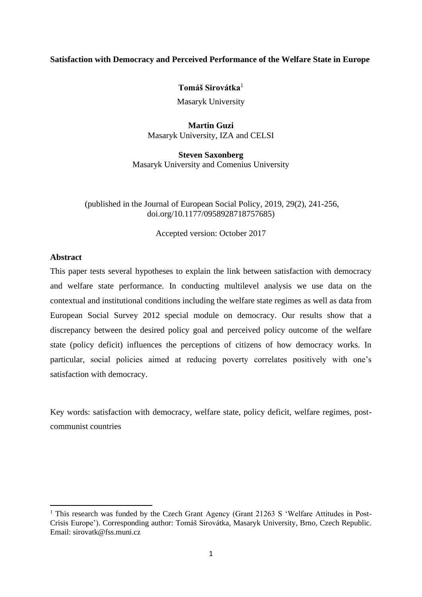# **Satisfaction with Democracy and Perceived Performance of the Welfare State in Europe**

**Tomáš Sirovátka**<sup>1</sup>

Masaryk University

**Martin Guzi** Masaryk University, IZA and CELSI

**Steven Saxonberg** Masaryk University and Comenius University

(published in the Journal of European Social Policy, 2019, 29(2), 241-256, doi.org/10.1177/0958928718757685)

Accepted version: October 2017

# **Abstract**

This paper tests several hypotheses to explain the link between satisfaction with democracy and welfare state performance. In conducting multilevel analysis we use data on the contextual and institutional conditions including the welfare state regimes as well as data from European Social Survey 2012 special module on democracy. Our results show that a discrepancy between the desired policy goal and perceived policy outcome of the welfare state (policy deficit) influences the perceptions of citizens of how democracy works. In particular, social policies aimed at reducing poverty correlates positively with one's satisfaction with democracy.

Key words: satisfaction with democracy, welfare state, policy deficit, welfare regimes, postcommunist countries

<sup>&</sup>lt;sup>1</sup> This research was funded by the Czech Grant Agency (Grant 21263 S 'Welfare Attitudes in Post-Crisis Europe'). Corresponding author: Tomáš Sirovátka, Masaryk University, Brno, Czech Republic. Email: sirovatk@fss.muni.cz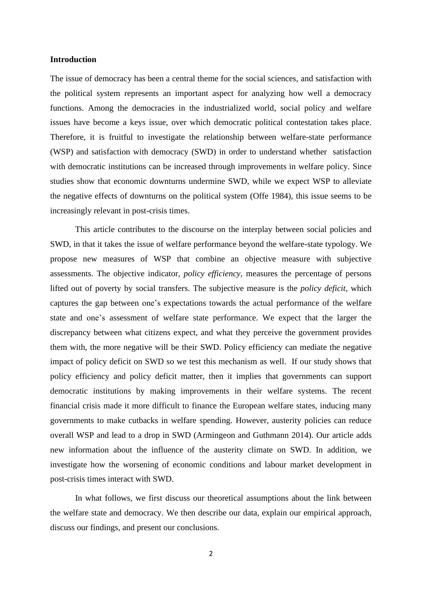#### **Introduction**

The issue of democracy has been a central theme for the social sciences, and satisfaction with the political system represents an important aspect for analyzing how well a democracy functions. Among the democracies in the industrialized world, social policy and welfare issues have become a keys issue, over which democratic political contestation takes place. Therefore, it is fruitful to investigate the relationship between welfare-state performance (WSP) and satisfaction with democracy (SWD) in order to understand whether satisfaction with democratic institutions can be increased through improvements in welfare policy. Since studies show that economic downturns undermine SWD, while we expect WSP to alleviate the negative effects of downturns on the political system (Offe 1984), this issue seems to be increasingly relevant in post-crisis times.

This article contributes to the discourse on the interplay between social policies and SWD, in that it takes the issue of welfare performance beyond the welfare-state typology. We propose new measures of WSP that combine an objective measure with subjective assessments. The objective indicator, *policy efficiency*, measures the percentage of persons lifted out of poverty by social transfers. The subjective measure is the *policy deficit*, which captures the gap between one's expectations towards the actual performance of the welfare state and one's assessment of welfare state performance. We expect that the larger the discrepancy between what citizens expect, and what they perceive the government provides them with, the more negative will be their SWD. Policy efficiency can mediate the negative impact of policy deficit on SWD so we test this mechanism as well. If our study shows that policy efficiency and policy deficit matter, then it implies that governments can support democratic institutions by making improvements in their welfare systems. The recent financial crisis made it more difficult to finance the European welfare states, inducing many governments to make cutbacks in welfare spending. However, austerity policies can reduce overall WSP and lead to a drop in SWD (Armingeon and Guthmann 2014). Our article adds new information about the influence of the austerity climate on SWD. In addition, we investigate how the worsening of economic conditions and labour market development in post-crisis times interact with SWD.

In what follows, we first discuss our theoretical assumptions about the link between the welfare state and democracy. We then describe our data, explain our empirical approach, discuss our findings, and present our conclusions.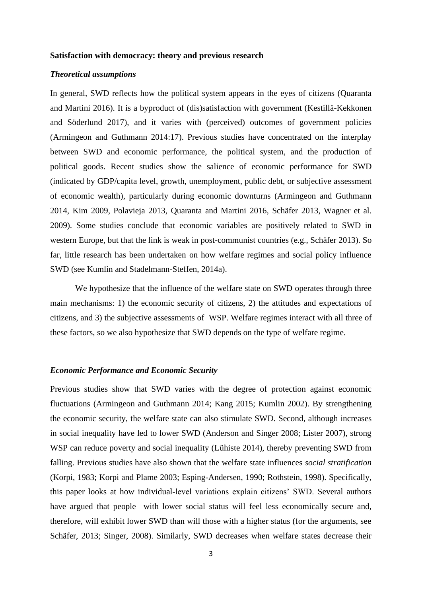#### **Satisfaction with democracy: theory and previous research**

# *Theoretical assumptions*

In general, SWD reflects how the political system appears in the eyes of citizens (Quaranta and Martini 2016). It is a byproduct of (dis)satisfaction with government (Kestillä-Kekkonen and Söderlund 2017), and it varies with (perceived) outcomes of government policies (Armingeon and Guthmann 2014:17). Previous studies have concentrated on the interplay between SWD and economic performance, the political system, and the production of political goods. Recent studies show the salience of economic performance for SWD (indicated by GDP/capita level, growth, unemployment, public debt, or subjective assessment of economic wealth), particularly during economic downturns (Armingeon and Guthmann 2014, Kim 2009, Polavieja 2013, Quaranta and Martini 2016, Schäfer 2013, Wagner et al. 2009). Some studies conclude that economic variables are positively related to SWD in western Europe, but that the link is weak in post-communist countries (e.g., Schäfer 2013). So far, little research has been undertaken on how welfare regimes and social policy influence SWD (see Kumlin and Stadelmann-Steffen, 2014a).

We hypothesize that the influence of the welfare state on SWD operates through three main mechanisms: 1) the economic security of citizens, 2) the attitudes and expectations of citizens, and 3) the subjective assessments of WSP. Welfare regimes interact with all three of these factors, so we also hypothesize that SWD depends on the type of welfare regime.

## *Economic Performance and Economic Security*

Previous studies show that SWD varies with the degree of protection against economic fluctuations (Armingeon and Guthmann 2014; Kang 2015; Kumlin 2002). By strengthening the economic security, the welfare state can also stimulate SWD. Second, although increases in social inequality have led to lower SWD (Anderson and Singer 2008; Lister 2007), strong WSP can reduce poverty and social inequality (Lühiste 2014), thereby preventing SWD from falling. Previous studies have also shown that the welfare state influences *social stratification* (Korpi, 1983; Korpi and Plame 2003; Esping-Andersen, 1990; Rothstein, 1998). Specifically, this paper looks at how individual-level variations explain citizens' SWD. Several authors have argued that people with lower social status will feel less economically secure and, therefore, will exhibit lower SWD than will those with a higher status (for the arguments, see Schäfer, 2013; Singer, 2008). Similarly, SWD decreases when welfare states decrease their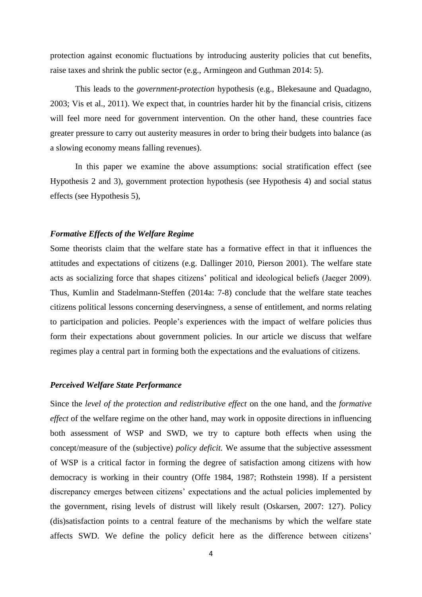protection against economic fluctuations by introducing austerity policies that cut benefits, raise taxes and shrink the public sector (e.g., Armingeon and Guthman 2014: 5).

This leads to the *government-protection* hypothesis (e.g., Blekesaune and Quadagno, 2003; Vis et al., 2011). We expect that, in countries harder hit by the financial crisis, citizens will feel more need for government intervention. On the other hand, these countries face greater pressure to carry out austerity measures in order to bring their budgets into balance (as a slowing economy means falling revenues).

In this paper we examine the above assumptions: social stratification effect (see Hypothesis 2 and 3), government protection hypothesis (see Hypothesis 4) and social status effects (see Hypothesis 5),

## *Formative Effects of the Welfare Regime*

Some theorists claim that the welfare state has a formative effect in that it influences the attitudes and expectations of citizens (e.g. Dallinger 2010, Pierson 2001). The welfare state acts as socializing force that shapes citizens' political and ideological beliefs (Jaeger 2009). Thus, Kumlin and Stadelmann-Steffen (2014a: 7-8) conclude that the welfare state teaches citizens political lessons concerning deservingness, a sense of entitlement, and norms relating to participation and policies. People's experiences with the impact of welfare policies thus form their expectations about government policies. In our article we discuss that welfare regimes play a central part in forming both the expectations and the evaluations of citizens.

# *Perceived Welfare State Performance*

Since the *level of the protection and redistributive effect* on the one hand, and the *formative effect* of the welfare regime on the other hand, may work in opposite directions in influencing both assessment of WSP and SWD, we try to capture both effects when using the concept/measure of the (subjective) *policy deficit.* We assume that the subjective assessment of WSP is a critical factor in forming the degree of satisfaction among citizens with how democracy is working in their country (Offe 1984, 1987; Rothstein 1998). If a persistent discrepancy emerges between citizens' expectations and the actual policies implemented by the government, rising levels of distrust will likely result (Oskarsen, 2007: 127). Policy (dis)satisfaction points to a central feature of the mechanisms by which the welfare state affects SWD. We define the policy deficit here as the difference between citizens'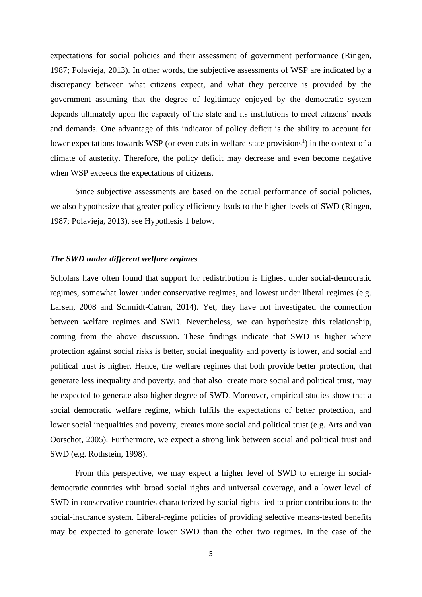expectations for social policies and their assessment of government performance (Ringen, 1987; Polavieja, 2013). In other words, the subjective assessments of WSP are indicated by a discrepancy between what citizens expect, and what they perceive is provided by the government assuming that the degree of legitimacy enjoyed by the democratic system depends ultimately upon the capacity of the state and its institutions to meet citizens' needs and demands. One advantage of this indicator of policy deficit is the ability to account for lower expectations towards WSP (or even cuts in welfare-state provisions<sup>1</sup>) in the context of a climate of austerity. Therefore, the policy deficit may decrease and even become negative when WSP exceeds the expectations of citizens.

Since subjective assessments are based on the actual performance of social policies, we also hypothesize that greater policy efficiency leads to the higher levels of SWD (Ringen, 1987; Polavieja, 2013), see Hypothesis 1 below.

## *The SWD under different welfare regimes*

Scholars have often found that support for redistribution is highest under social-democratic regimes, somewhat lower under conservative regimes, and lowest under liberal regimes (e.g. Larsen, 2008 and Schmidt-Catran, 2014). Yet, they have not investigated the connection between welfare regimes and SWD. Nevertheless, we can hypothesize this relationship, coming from the above discussion. These findings indicate that SWD is higher where protection against social risks is better, social inequality and poverty is lower, and social and political trust is higher. Hence, the welfare regimes that both provide better protection, that generate less inequality and poverty, and that also create more social and political trust, may be expected to generate also higher degree of SWD. Moreover, empirical studies show that a social democratic welfare regime, which fulfils the expectations of better protection, and lower social inequalities and poverty, creates more social and political trust (e.g. Arts and van Oorschot, 2005). Furthermore, we expect a strong link between social and political trust and SWD (e.g. Rothstein, 1998).

From this perspective, we may expect a higher level of SWD to emerge in socialdemocratic countries with broad social rights and universal coverage, and a lower level of SWD in conservative countries characterized by social rights tied to prior contributions to the social-insurance system. Liberal-regime policies of providing selective means-tested benefits may be expected to generate lower SWD than the other two regimes. In the case of the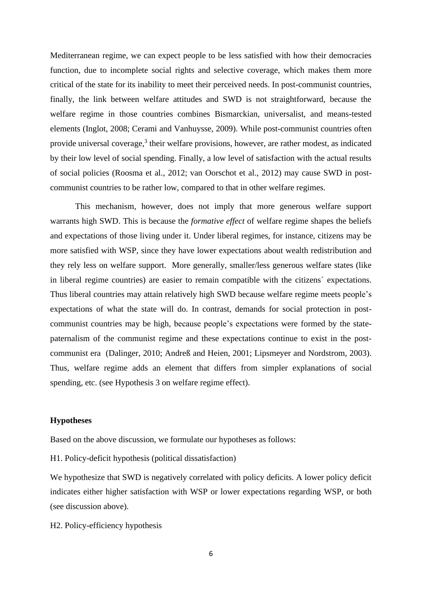Mediterranean regime, we can expect people to be less satisfied with how their democracies function, due to incomplete social rights and selective coverage, which makes them more critical of the state for its inability to meet their perceived needs. In post-communist countries, finally, the link between welfare attitudes and SWD is not straightforward, because the welfare regime in those countries combines Bismarckian, universalist, and means-tested elements (Inglot, 2008; Cerami and Vanhuysse, 2009). While post-communist countries often provide universal coverage,<sup>3</sup> their welfare provisions, however, are rather modest, as indicated by their low level of social spending. Finally, a low level of satisfaction with the actual results of social policies (Roosma et al., 2012; van Oorschot et al., 2012) may cause SWD in postcommunist countries to be rather low, compared to that in other welfare regimes.

This mechanism, however, does not imply that more generous welfare support warrants high SWD. This is because the *formative effect* of welfare regime shapes the beliefs and expectations of those living under it. Under liberal regimes, for instance, citizens may be more satisfied with WSP, since they have lower expectations about wealth redistribution and they rely less on welfare support. More generally, smaller/less generous welfare states (like in liberal regime countries) are easier to remain compatible with the citizens´ expectations. Thus liberal countries may attain relatively high SWD because welfare regime meets people's expectations of what the state will do. In contrast, demands for social protection in postcommunist countries may be high, because people's expectations were formed by the statepaternalism of the communist regime and these expectations continue to exist in the postcommunist era (Dalinger, 2010; Andreß and Heien, 2001; Lipsmeyer and Nordstrom, 2003). Thus, welfare regime adds an element that differs from simpler explanations of social spending, etc. (see Hypothesis 3 on welfare regime effect).

## **Hypotheses**

Based on the above discussion, we formulate our hypotheses as follows:

H1. Policy-deficit hypothesis (political dissatisfaction)

We hypothesize that SWD is negatively correlated with policy deficits. A lower policy deficit indicates either higher satisfaction with WSP or lower expectations regarding WSP, or both (see discussion above).

H2. Policy-efficiency hypothesis

6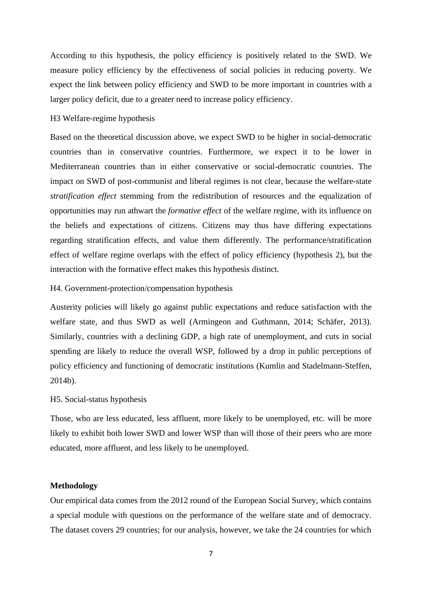According to this hypothesis, the policy efficiency is positively related to the SWD. We measure policy efficiency by the effectiveness of social policies in reducing poverty. We expect the link between policy efficiency and SWD to be more important in countries with a larger policy deficit, due to a greater need to increase policy efficiency.

## H3 Welfare-regime hypothesis

Based on the theoretical discussion above, we expect SWD to be higher in social-democratic countries than in conservative countries. Furthermore, we expect it to be lower in Mediterranean countries than in either conservative or social-democratic countries. The impact on SWD of post-communist and liberal regimes is not clear, because the welfare-state *stratification effect* stemming from the redistribution of resources and the equalization of opportunities may run athwart the *formative effect* of the welfare regime, with its influence on the beliefs and expectations of citizens. Citizens may thus have differing expectations regarding stratification effects, and value them differently. The performance/stratification effect of welfare regime overlaps with the effect of policy efficiency (hypothesis 2), but the interaction with the formative effect makes this hypothesis distinct.

#### H4. Government-protection/compensation hypothesis

Austerity policies will likely go against public expectations and reduce satisfaction with the welfare state, and thus SWD as well (Armingeon and Guthmann, 2014; Schäfer, 2013). Similarly, countries with a declining GDP, a high rate of unemployment, and cuts in social spending are likely to reduce the overall WSP, followed by a drop in public perceptions of policy efficiency and functioning of democratic institutions (Kumlin and Stadelmann-Steffen, 2014b).

## H5. Social-status hypothesis

Those, who are less educated, less affluent, more likely to be unemployed, etc. will be more likely to exhibit both lower SWD and lower WSP than will those of their peers who are more educated, more affluent, and less likely to be unemployed.

# **Methodology**

Our empirical data comes from the 2012 round of the European Social Survey, which contains a special module with questions on the performance of the welfare state and of democracy. The dataset covers 29 countries; for our analysis, however, we take the 24 countries for which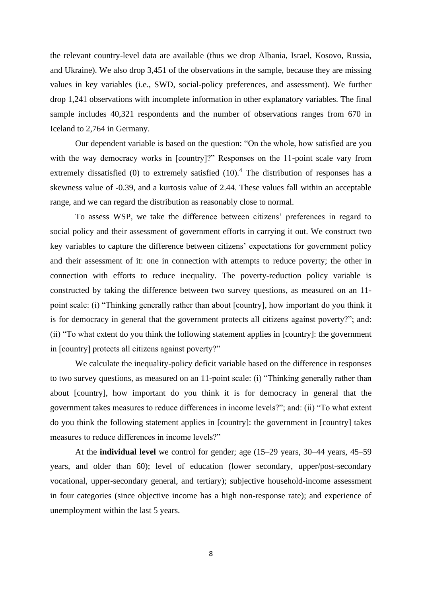the relevant country-level data are available (thus we drop Albania, Israel, Kosovo, Russia, and Ukraine). We also drop 3,451 of the observations in the sample, because they are missing values in key variables (i.e., SWD, social-policy preferences, and assessment). We further drop 1,241 observations with incomplete information in other explanatory variables. The final sample includes 40,321 respondents and the number of observations ranges from 670 in Iceland to 2,764 in Germany.

Our dependent variable is based on the question: "On the whole, how satisfied are you with the way democracy works in [country]?" Responses on the 11-point scale vary from extremely dissatisfied (0) to extremely satisfied  $(10)$ .<sup>4</sup> The distribution of responses has a skewness value of -0.39, and a kurtosis value of 2.44. These values fall within an acceptable range, and we can regard the distribution as reasonably close to normal.

To assess WSP, we take the difference between citizens' preferences in regard to social policy and their assessment of government efforts in carrying it out. We construct two key variables to capture the difference between citizens' expectations for government policy and their assessment of it: one in connection with attempts to reduce poverty; the other in connection with efforts to reduce inequality. The poverty-reduction policy variable is constructed by taking the difference between two survey questions, as measured on an 11 point scale: (i) "Thinking generally rather than about [country], how important do you think it is for democracy in general that the government protects all citizens against poverty?"; and: (ii) "To what extent do you think the following statement applies in [country]: the government in [country] protects all citizens against poverty?"

We calculate the inequality-policy deficit variable based on the difference in responses to two survey questions, as measured on an 11-point scale: (i) "Thinking generally rather than about [country], how important do you think it is for democracy in general that the government takes measures to reduce differences in income levels?"; and: (ii) "To what extent do you think the following statement applies in [country]: the government in [country] takes measures to reduce differences in income levels?"

At the **individual level** we control for gender; age (15–29 years, 30–44 years, 45–59 years, and older than 60); level of education (lower secondary, upper/post-secondary vocational, upper-secondary general, and tertiary); subjective household-income assessment in four categories (since objective income has a high non-response rate); and experience of unemployment within the last 5 years.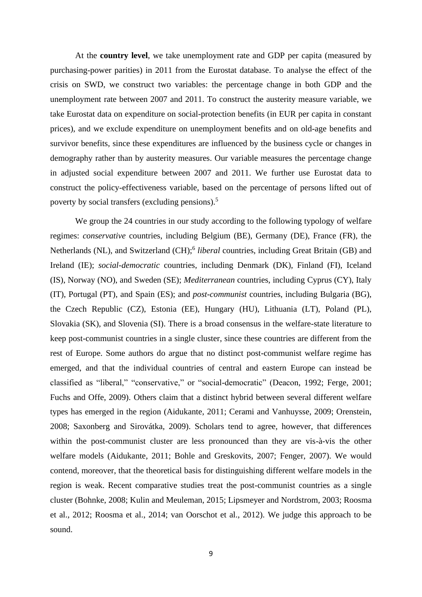At the **country level**, we take unemployment rate and GDP per capita (measured by purchasing-power parities) in 2011 from the Eurostat database. To analyse the effect of the crisis on SWD, we construct two variables: the percentage change in both GDP and the unemployment rate between 2007 and 2011. To construct the austerity measure variable, we take Eurostat data on expenditure on social-protection benefits (in EUR per capita in constant prices), and we exclude expenditure on unemployment benefits and on old-age benefits and survivor benefits, since these expenditures are influenced by the business cycle or changes in demography rather than by austerity measures. Our variable measures the percentage change in adjusted social expenditure between 2007 and 2011. We further use Eurostat data to construct the policy-effectiveness variable, based on the percentage of persons lifted out of poverty by social transfers (excluding pensions).<sup>5</sup>

We group the 24 countries in our study according to the following typology of welfare regimes: *conservative* countries, including Belgium (BE), Germany (DE), France (FR), the Netherlands (NL), and Switzerland (CH);<sup>6</sup> liberal countries, including Great Britain (GB) and Ireland (IE); *social-democratic* countries, including Denmark (DK), Finland (FI), Iceland (IS), Norway (NO), and Sweden (SE); *Mediterranean* countries, including Cyprus (CY), Italy (IT), Portugal (PT), and Spain (ES); and *post-communist* countries, including Bulgaria (BG), the Czech Republic (CZ), Estonia (EE), Hungary (HU), Lithuania (LT), Poland (PL), Slovakia (SK), and Slovenia (SI). There is a broad consensus in the welfare-state literature to keep post-communist countries in a single cluster, since these countries are different from the rest of Europe. Some authors do argue that no distinct post-communist welfare regime has emerged, and that the individual countries of central and eastern Europe can instead be classified as "liberal," "conservative," or "social-democratic" (Deacon, 1992; Ferge, 2001; Fuchs and Offe, 2009). Others claim that a distinct hybrid between several different welfare types has emerged in the region (Aidukante, 2011; Cerami and Vanhuysse, 2009; Orenstein, 2008; Saxonberg and Sirovátka, 2009). Scholars tend to agree, however, that differences within the post-communist cluster are less pronounced than they are vis-à-vis the other welfare models (Aidukante, 2011; Bohle and Greskovits, 2007; Fenger, 2007). We would contend, moreover, that the theoretical basis for distinguishing different welfare models in the region is weak. Recent comparative studies treat the post-communist countries as a single cluster (Bohnke, 2008; Kulin and Meuleman, 2015; Lipsmeyer and Nordstrom, 2003; Roosma et al., 2012; Roosma et al., 2014; van Oorschot et al., 2012). We judge this approach to be sound.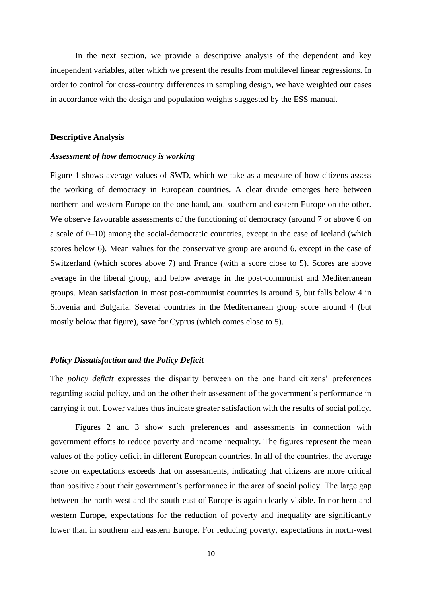In the next section, we provide a descriptive analysis of the dependent and key independent variables, after which we present the results from multilevel linear regressions. In order to control for cross-country differences in sampling design, we have weighted our cases in accordance with the design and population weights suggested by the ESS manual.

#### **Descriptive Analysis**

#### *Assessment of how democracy is working*

Figure 1 shows average values of SWD, which we take as a measure of how citizens assess the working of democracy in European countries. A clear divide emerges here between northern and western Europe on the one hand, and southern and eastern Europe on the other. We observe favourable assessments of the functioning of democracy (around 7 or above 6 on a scale of 0–10) among the social-democratic countries, except in the case of Iceland (which scores below 6). Mean values for the conservative group are around 6, except in the case of Switzerland (which scores above 7) and France (with a score close to 5). Scores are above average in the liberal group, and below average in the post-communist and Mediterranean groups. Mean satisfaction in most post-communist countries is around 5, but falls below 4 in Slovenia and Bulgaria. Several countries in the Mediterranean group score around 4 (but mostly below that figure), save for Cyprus (which comes close to 5).

# *Policy Dissatisfaction and the Policy Deficit*

The *policy deficit* expresses the disparity between on the one hand citizens' preferences regarding social policy, and on the other their assessment of the government's performance in carrying it out. Lower values thus indicate greater satisfaction with the results of social policy.

Figures 2 and 3 show such preferences and assessments in connection with government efforts to reduce poverty and income inequality. The figures represent the mean values of the policy deficit in different European countries. In all of the countries, the average score on expectations exceeds that on assessments, indicating that citizens are more critical than positive about their government's performance in the area of social policy. The large gap between the north-west and the south-east of Europe is again clearly visible. In northern and western Europe, expectations for the reduction of poverty and inequality are significantly lower than in southern and eastern Europe. For reducing poverty, expectations in north-west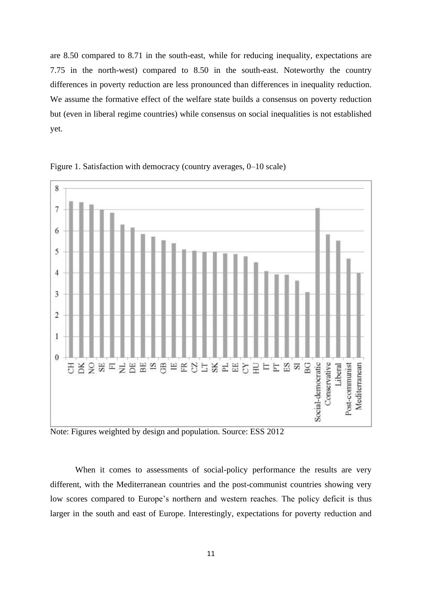are 8.50 compared to 8.71 in the south-east, while for reducing inequality, expectations are 7.75 in the north-west) compared to 8.50 in the south-east. Noteworthy the country differences in poverty reduction are less pronounced than differences in inequality reduction. We assume the formative effect of the welfare state builds a consensus on poverty reduction but (even in liberal regime countries) while consensus on social inequalities is not established yet.





Note: Figures weighted by design and population. Source: ESS 2012

When it comes to assessments of social-policy performance the results are very different, with the Mediterranean countries and the post-communist countries showing very low scores compared to Europe's northern and western reaches. The policy deficit is thus larger in the south and east of Europe. Interestingly, expectations for poverty reduction and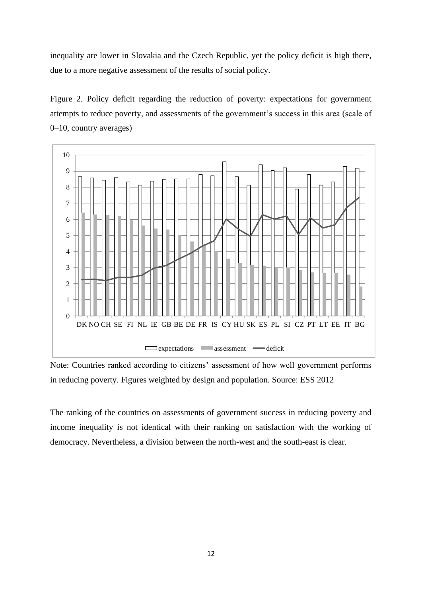inequality are lower in Slovakia and the Czech Republic, yet the policy deficit is high there, due to a more negative assessment of the results of social policy.

Figure 2. Policy deficit regarding the reduction of poverty: expectations for government attempts to reduce poverty, and assessments of the government's success in this area (scale of 0–10, country averages)



Note: Countries ranked according to citizens' assessment of how well government performs in reducing poverty. Figures weighted by design and population. Source: ESS 2012

The ranking of the countries on assessments of government success in reducing poverty and income inequality is not identical with their ranking on satisfaction with the working of democracy. Nevertheless, a division between the north-west and the south-east is clear.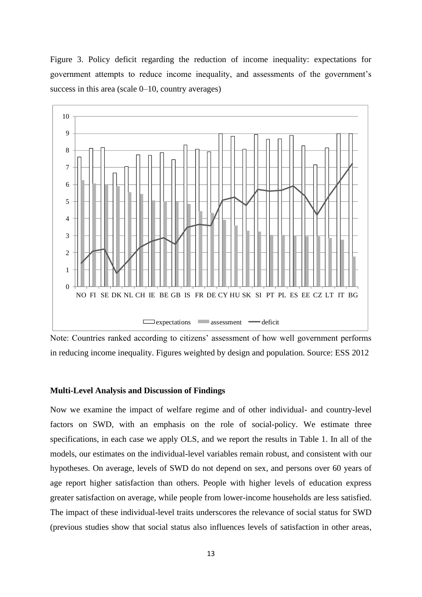Figure 3. Policy deficit regarding the reduction of income inequality: expectations for government attempts to reduce income inequality, and assessments of the government's success in this area (scale  $0-10$ , country averages)



Note: Countries ranked according to citizens' assessment of how well government performs in reducing income inequality. Figures weighted by design and population. Source: ESS 2012

#### **Multi-Level Analysis and Discussion of Findings**

Now we examine the impact of welfare regime and of other individual- and country-level factors on SWD, with an emphasis on the role of social-policy. We estimate three specifications, in each case we apply OLS, and we report the results in Table 1. In all of the models, our estimates on the individual-level variables remain robust, and consistent with our hypotheses. On average, levels of SWD do not depend on sex, and persons over 60 years of age report higher satisfaction than others. People with higher levels of education express greater satisfaction on average, while people from lower-income households are less satisfied. The impact of these individual-level traits underscores the relevance of social status for SWD (previous studies show that social status also influences levels of satisfaction in other areas,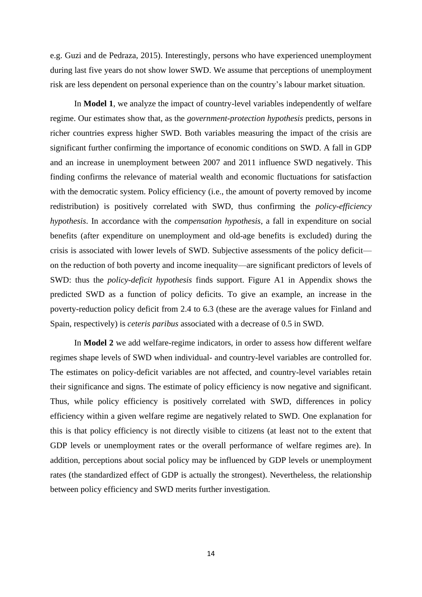e.g. Guzi and de Pedraza, 2015). Interestingly, persons who have experienced unemployment during last five years do not show lower SWD. We assume that perceptions of unemployment risk are less dependent on personal experience than on the country's labour market situation.

In **Model 1**, we analyze the impact of country-level variables independently of welfare regime. Our estimates show that, as the *government-protection hypothesis* predicts, persons in richer countries express higher SWD. Both variables measuring the impact of the crisis are significant further confirming the importance of economic conditions on SWD. A fall in GDP and an increase in unemployment between 2007 and 2011 influence SWD negatively. This finding confirms the relevance of material wealth and economic fluctuations for satisfaction with the democratic system. Policy efficiency (i.e., the amount of poverty removed by income redistribution) is positively correlated with SWD, thus confirming the *policy-efficiency hypothesis*. In accordance with the *compensation hypothesis*, a fall in expenditure on social benefits (after expenditure on unemployment and old-age benefits is excluded) during the crisis is associated with lower levels of SWD. Subjective assessments of the policy deficit on the reduction of both poverty and income inequality—are significant predictors of levels of SWD: thus the *policy-deficit hypothesis* finds support. Figure A1 in Appendix shows the predicted SWD as a function of policy deficits. To give an example, an increase in the poverty-reduction policy deficit from 2.4 to 6.3 (these are the average values for Finland and Spain, respectively) is *ceteris paribus* associated with a decrease of 0.5 in SWD.

In **Model 2** we add welfare-regime indicators, in order to assess how different welfare regimes shape levels of SWD when individual- and country-level variables are controlled for. The estimates on policy-deficit variables are not affected, and country-level variables retain their significance and signs. The estimate of policy efficiency is now negative and significant. Thus, while policy efficiency is positively correlated with SWD, differences in policy efficiency within a given welfare regime are negatively related to SWD. One explanation for this is that policy efficiency is not directly visible to citizens (at least not to the extent that GDP levels or unemployment rates or the overall performance of welfare regimes are). In addition, perceptions about social policy may be influenced by GDP levels or unemployment rates (the standardized effect of GDP is actually the strongest). Nevertheless, the relationship between policy efficiency and SWD merits further investigation.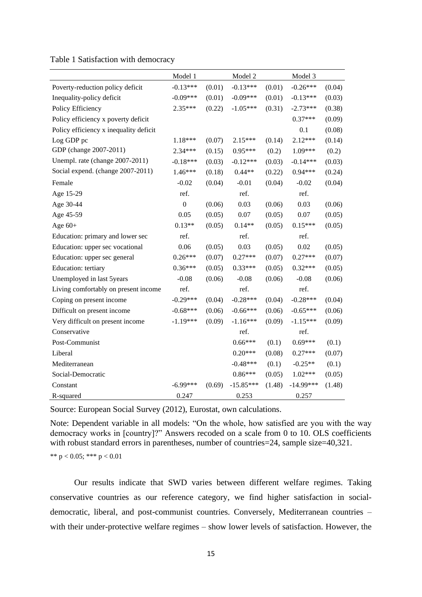|  | Table 1 Satisfaction with democracy |  |  |
|--|-------------------------------------|--|--|
|--|-------------------------------------|--|--|

|                                        | Model 1          |        | Model 2     |        | Model 3     |        |
|----------------------------------------|------------------|--------|-------------|--------|-------------|--------|
| Poverty-reduction policy deficit       | $-0.13***$       | (0.01) | $-0.13***$  | (0.01) | $-0.26***$  | (0.04) |
| Inequality-policy deficit              | $-0.09***$       | (0.01) | $-0.09***$  | (0.01) | $-0.13***$  | (0.03) |
| Policy Efficiency                      | 2.35***          | (0.22) | $-1.05***$  | (0.31) | $-2.73***$  | (0.38) |
| Policy efficiency x poverty deficit    |                  |        |             |        | $0.37***$   | (0.09) |
| Policy efficiency x inequality deficit |                  |        |             |        | 0.1         | (0.08) |
| Log GDP pc                             | 1.18***          | (0.07) | 2.15***     | (0.14) | 2.12***     | (0.14) |
| GDP (change 2007-2011)                 | $2.34***$        | (0.15) | 0.95***     | (0.2)  | 1.09***     | (0.2)  |
| Unempl. rate (change 2007-2011)        | $-0.18***$       | (0.03) | $-0.12***$  | (0.03) | $-0.14***$  | (0.03) |
| Social expend. (change 2007-2011)      | $1.46***$        | (0.18) | $0.44**$    | (0.22) | 0.94***     | (0.24) |
| Female                                 | $-0.02$          | (0.04) | $-0.01$     | (0.04) | $-0.02$     | (0.04) |
| Age 15-29                              | ref.             |        | ref.        |        | ref.        |        |
| Age 30-44                              | $\boldsymbol{0}$ | (0.06) | 0.03        | (0.06) | 0.03        | (0.06) |
| Age 45-59                              | 0.05             | (0.05) | 0.07        | (0.05) | 0.07        | (0.05) |
| Age $60+$                              | $0.13**$         | (0.05) | $0.14**$    | (0.05) | $0.15***$   | (0.05) |
| Education: primary and lower sec       | ref.             |        | ref.        |        | ref.        |        |
| Education: upper sec vocational        | 0.06             | (0.05) | 0.03        | (0.05) | 0.02        | (0.05) |
| Education: upper sec general           | $0.26***$        | (0.07) | $0.27***$   | (0.07) | $0.27***$   | (0.07) |
| Education: tertiary                    | $0.36***$        | (0.05) | $0.33***$   | (0.05) | $0.32***$   | (0.05) |
| Unemployed in last 5years              | $-0.08$          | (0.06) | $-0.08$     | (0.06) | $-0.08$     | (0.06) |
| Living comfortably on present income   | ref.             |        | ref.        |        | ref.        |        |
| Coping on present income               | $-0.29***$       | (0.04) | $-0.28***$  | (0.04) | $-0.28***$  | (0.04) |
| Difficult on present income            | $-0.68***$       | (0.06) | $-0.66***$  | (0.06) | $-0.65***$  | (0.06) |
| Very difficult on present income       | $-1.19***$       | (0.09) | $-1.16***$  | (0.09) | $-1.15***$  | (0.09) |
| Conservative                           |                  |        | ref.        |        | ref.        |        |
| Post-Communist                         |                  |        | $0.66***$   | (0.1)  | $0.69***$   | (0.1)  |
| Liberal                                |                  |        | $0.20***$   | (0.08) | $0.27***$   | (0.07) |
| Mediterranean                          |                  |        | $-0.48***$  | (0.1)  | $-0.25**$   | (0.1)  |
| Social-Democratic                      |                  |        | $0.86***$   | (0.05) | 1.02***     | (0.05) |
| Constant                               | $-6.99***$       | (0.69) | $-15.85***$ | (1.48) | $-14.99***$ | (1.48) |
| R-squared                              | 0.247            |        | 0.253       |        | 0.257       |        |

Source: European Social Survey (2012), Eurostat, own calculations.

Note: Dependent variable in all models: "On the whole, how satisfied are you with the way democracy works in [country]?" Answers recoded on a scale from 0 to 10. OLS coefficients with robust standard errors in parentheses, number of countries=24, sample size=40,321.

\*\*  $p < 0.05$ ; \*\*\*  $p < 0.01$ 

Our results indicate that SWD varies between different welfare regimes. Taking conservative countries as our reference category, we find higher satisfaction in socialdemocratic, liberal, and post-communist countries. Conversely, Mediterranean countries – with their under-protective welfare regimes – show lower levels of satisfaction. However, the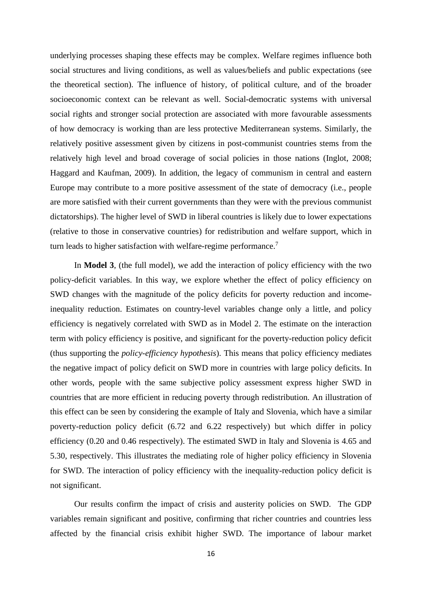underlying processes shaping these effects may be complex. Welfare regimes influence both social structures and living conditions, as well as values/beliefs and public expectations (see the theoretical section). The influence of history, of political culture, and of the broader socioeconomic context can be relevant as well. Social-democratic systems with universal social rights and stronger social protection are associated with more favourable assessments of how democracy is working than are less protective Mediterranean systems. Similarly, the relatively positive assessment given by citizens in post-communist countries stems from the relatively high level and broad coverage of social policies in those nations (Inglot, 2008; Haggard and Kaufman, 2009). In addition, the legacy of communism in central and eastern Europe may contribute to a more positive assessment of the state of democracy (i.e., people are more satisfied with their current governments than they were with the previous communist dictatorships). The higher level of SWD in liberal countries is likely due to lower expectations (relative to those in conservative countries) for redistribution and welfare support, which in turn leads to higher satisfaction with welfare-regime performance.<sup>7</sup>

In **Model 3**, (the full model), we add the interaction of policy efficiency with the two policy-deficit variables. In this way, we explore whether the effect of policy efficiency on SWD changes with the magnitude of the policy deficits for poverty reduction and incomeinequality reduction. Estimates on country-level variables change only a little, and policy efficiency is negatively correlated with SWD as in Model 2. The estimate on the interaction term with policy efficiency is positive, and significant for the poverty-reduction policy deficit (thus supporting the *policy-efficiency hypothesis*). This means that policy efficiency mediates the negative impact of policy deficit on SWD more in countries with large policy deficits. In other words, people with the same subjective policy assessment express higher SWD in countries that are more efficient in reducing poverty through redistribution. An illustration of this effect can be seen by considering the example of Italy and Slovenia, which have a similar poverty-reduction policy deficit (6.72 and 6.22 respectively) but which differ in policy efficiency (0.20 and 0.46 respectively). The estimated SWD in Italy and Slovenia is 4.65 and 5.30, respectively. This illustrates the mediating role of higher policy efficiency in Slovenia for SWD. The interaction of policy efficiency with the inequality-reduction policy deficit is not significant.

Our results confirm the impact of crisis and austerity policies on SWD. The GDP variables remain significant and positive, confirming that richer countries and countries less affected by the financial crisis exhibit higher SWD. The importance of labour market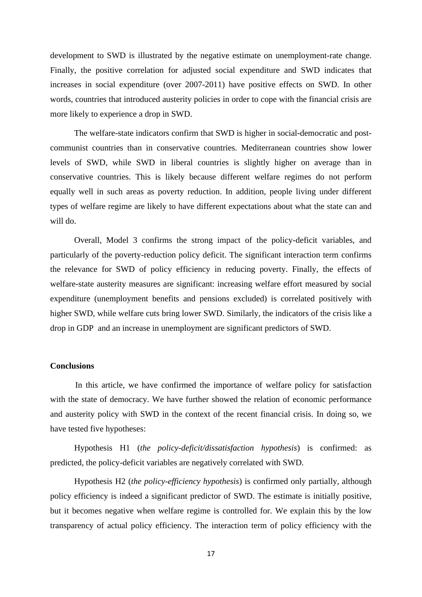development to SWD is illustrated by the negative estimate on unemployment-rate change. Finally, the positive correlation for adjusted social expenditure and SWD indicates that increases in social expenditure (over 2007-2011) have positive effects on SWD. In other words, countries that introduced austerity policies in order to cope with the financial crisis are more likely to experience a drop in SWD.

The welfare-state indicators confirm that SWD is higher in social-democratic and postcommunist countries than in conservative countries. Mediterranean countries show lower levels of SWD, while SWD in liberal countries is slightly higher on average than in conservative countries. This is likely because different welfare regimes do not perform equally well in such areas as poverty reduction. In addition, people living under different types of welfare regime are likely to have different expectations about what the state can and will do.

Overall, Model 3 confirms the strong impact of the policy-deficit variables, and particularly of the poverty-reduction policy deficit. The significant interaction term confirms the relevance for SWD of policy efficiency in reducing poverty. Finally, the effects of welfare-state austerity measures are significant: increasing welfare effort measured by social expenditure (unemployment benefits and pensions excluded) is correlated positively with higher SWD, while welfare cuts bring lower SWD. Similarly, the indicators of the crisis like a drop in GDP and an increase in unemployment are significant predictors of SWD.

# **Conclusions**

In this article, we have confirmed the importance of welfare policy for satisfaction with the state of democracy. We have further showed the relation of economic performance and austerity policy with SWD in the context of the recent financial crisis. In doing so, we have tested five hypotheses:

Hypothesis H1 (*the policy-deficit/dissatisfaction hypothesis*) is confirmed: as predicted, the policy-deficit variables are negatively correlated with SWD.

Hypothesis H2 (*the policy-efficiency hypothesis*) is confirmed only partially, although policy efficiency is indeed a significant predictor of SWD. The estimate is initially positive, but it becomes negative when welfare regime is controlled for. We explain this by the low transparency of actual policy efficiency. The interaction term of policy efficiency with the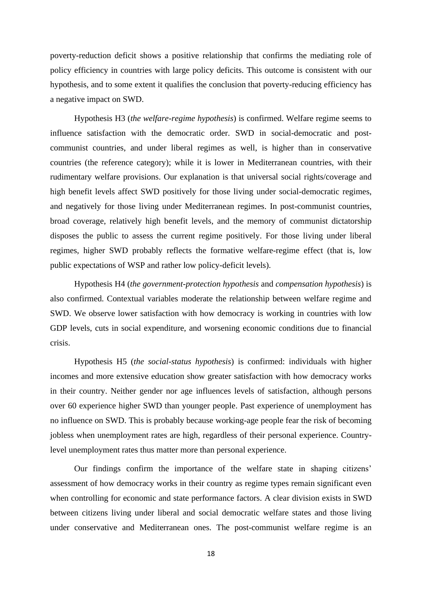poverty-reduction deficit shows a positive relationship that confirms the mediating role of policy efficiency in countries with large policy deficits. This outcome is consistent with our hypothesis, and to some extent it qualifies the conclusion that poverty-reducing efficiency has a negative impact on SWD.

Hypothesis H3 (*the welfare-regime hypothesis*) is confirmed. Welfare regime seems to influence satisfaction with the democratic order. SWD in social-democratic and postcommunist countries, and under liberal regimes as well, is higher than in conservative countries (the reference category); while it is lower in Mediterranean countries, with their rudimentary welfare provisions. Our explanation is that universal social rights/coverage and high benefit levels affect SWD positively for those living under social-democratic regimes, and negatively for those living under Mediterranean regimes. In post-communist countries, broad coverage, relatively high benefit levels, and the memory of communist dictatorship disposes the public to assess the current regime positively. For those living under liberal regimes, higher SWD probably reflects the formative welfare-regime effect (that is, low public expectations of WSP and rather low policy-deficit levels).

Hypothesis H4 (*the government-protection hypothesis* and *compensation hypothesis*) is also confirmed. Contextual variables moderate the relationship between welfare regime and SWD. We observe lower satisfaction with how democracy is working in countries with low GDP levels, cuts in social expenditure, and worsening economic conditions due to financial crisis.

Hypothesis H5 (*the social-status hypothesis*) is confirmed: individuals with higher incomes and more extensive education show greater satisfaction with how democracy works in their country. Neither gender nor age influences levels of satisfaction, although persons over 60 experience higher SWD than younger people. Past experience of unemployment has no influence on SWD. This is probably because working-age people fear the risk of becoming jobless when unemployment rates are high, regardless of their personal experience. Countrylevel unemployment rates thus matter more than personal experience.

Our findings confirm the importance of the welfare state in shaping citizens' assessment of how democracy works in their country as regime types remain significant even when controlling for economic and state performance factors. A clear division exists in SWD between citizens living under liberal and social democratic welfare states and those living under conservative and Mediterranean ones. The post-communist welfare regime is an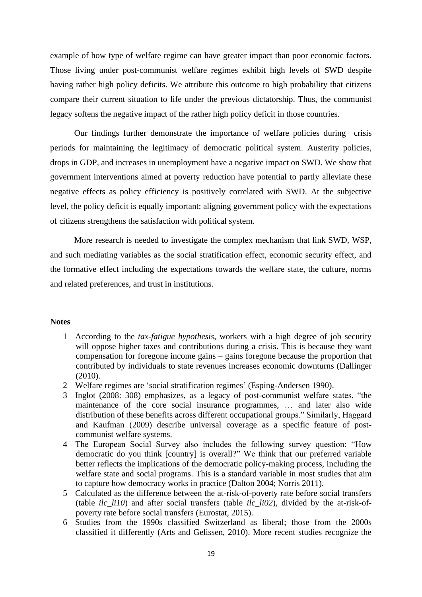example of how type of welfare regime can have greater impact than poor economic factors. Those living under post-communist welfare regimes exhibit high levels of SWD despite having rather high policy deficits. We attribute this outcome to high probability that citizens compare their current situation to life under the previous dictatorship. Thus, the communist legacy softens the negative impact of the rather high policy deficit in those countries.

Our findings further demonstrate the importance of welfare policies during crisis periods for maintaining the legitimacy of democratic political system. Austerity policies, drops in GDP, and increases in unemployment have a negative impact on SWD. We show that government interventions aimed at poverty reduction have potential to partly alleviate these negative effects as policy efficiency is positively correlated with SWD. At the subjective level, the policy deficit is equally important: aligning government policy with the expectations of citizens strengthens the satisfaction with political system.

More research is needed to investigate the complex mechanism that link SWD, WSP, and such mediating variables as the social stratification effect, economic security effect, and the formative effect including the expectations towards the welfare state, the culture, norms and related preferences, and trust in institutions.

# **Notes**

- 1 According to the *tax-fatigue hypothesis*, workers with a high degree of job security will oppose higher taxes and contributions during a crisis. This is because they want compensation for foregone income gains – gains foregone because the proportion that contributed by individuals to state revenues increases economic downturns (Dallinger (2010).
- 2 Welfare regimes are 'social stratification regimes' (Esping-Andersen 1990).
- 3 Inglot (2008: 308) emphasizes, as a legacy of post-communist welfare states, "the maintenance of the core social insurance programmes, … and later also wide distribution of these benefits across different occupational groups." Similarly, Haggard and Kaufman (2009) describe universal coverage as a specific feature of postcommunist welfare systems.
- 4 The European Social Survey also includes the following survey question: "How democratic do you think [country] is overall?" We think that our preferred variable better reflects the implication**s** of the democratic policy-making process, including the welfare state and social programs. This is a standard variable in most studies that aim to capture how democracy works in practice (Dalton 2004; Norris 2011).
- 5 Calculated as the difference between the at-risk-of-poverty rate before social transfers (table  $ilc$   $li10$ ) and after social transfers (table  $ilc$   $li02$ ), divided by the at-risk-ofpoverty rate before social transfers (Eurostat, 2015).
- 6 Studies from the 1990s classified Switzerland as liberal; those from the 2000s classified it differently (Arts and Gelissen, 2010). More recent studies recognize the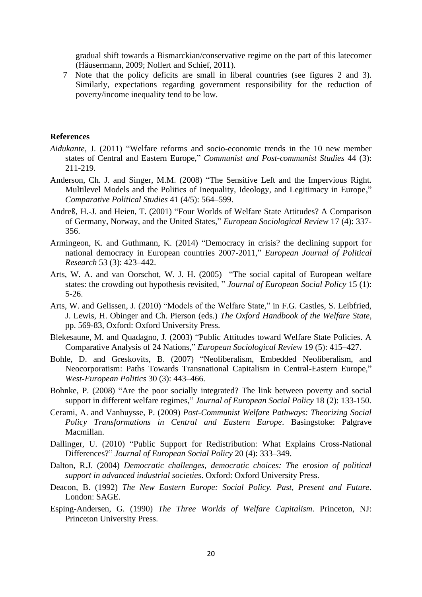gradual shift towards a Bismarckian/conservative regime on the part of this latecomer (Häusermann, 2009; Nollert and Schief, 2011).

7 Note that the policy deficits are small in liberal countries (see figures 2 and 3). Similarly, expectations regarding government responsibility for the reduction of poverty/income inequality tend to be low.

## **References**

- *Aidukante,* J. (2011) "Welfare reforms and socio-economic trends in the 10 new member states of Central and Eastern Europe," *Communist and Post-communist Studies* 44 (3): 211-219.
- Anderson, Ch. J. and Singer, M.M. (2008) "The Sensitive Left and the Impervious Right. Multilevel Models and the Politics of Inequality, Ideology, and Legitimacy in Europe," *Comparative Political Studies* 41 (4/5): 564–599.
- Andreß, H.-J. and Heien, T. (2001) "Four Worlds of Welfare State Attitudes? A Comparison of Germany, Norway, and the United States," *European Sociological Review* 17 (4): 337- 356.
- Armingeon, K. and Guthmann, K. (2014) "Democracy in crisis? the declining support for national democracy in European countries 2007-2011," *European Journal of Political Research* 53 (3): 423–442.
- Arts, W. A. and van Oorschot, W. J. H. (2005) "The social capital of European welfare states: the crowding out hypothesis revisited, " *Journal of European Social Policy* 15 (1): 5-26.
- Arts, W. and Gelissen, J. (2010) "Models of the Welfare State," in F.G. Castles, S. Leibfried, J. Lewis, H. Obinger and Ch. Pierson (eds.) *The Oxford Handbook of the Welfare State*, pp. 569-83, Oxford: Oxford University Press.
- Blekesaune, M. and Quadagno, J. (2003) "Public Attitudes toward Welfare State Policies. A Comparative Analysis of 24 Nations," *European Sociological Review* 19 (5): 415–427.
- Bohle, D. and Greskovits, B. (2007) "Neoliberalism, Embedded Neoliberalism, and Neocorporatism: Paths Towards Transnational Capitalism in Central-Eastern Europe," *West-European Politics* 30 (3): 443–466.
- Bohnke, P. (2008) "Are the poor socially integrated? The link between poverty and social support in different welfare regimes," *Journal of European Social Policy* 18 (2): 133-150.
- Cerami, A. and Vanhuysse, P. (2009) *Post-Communist Welfare Pathways: Theorizing Social Policy Transformations in Central and Eastern Europe*. Basingstoke: Palgrave Macmillan.
- Dallinger, U. (2010) "Public Support for Redistribution: What Explains Cross-National Differences?" *Journal of European Social Policy* 20 (4): 333–349.
- Dalton, R.J. (2004) *Democratic challenges, democratic choices: The erosion of political support in advanced industrial societies*. Oxford: Oxford University Press.
- Deacon, B. (1992) *The New Eastern Europe: Social Policy. Past, Present and Future*. London: SAGE.
- Esping-Andersen, G. (1990) *The Three Worlds of Welfare Capitalism*. Princeton, NJ: Princeton University Press.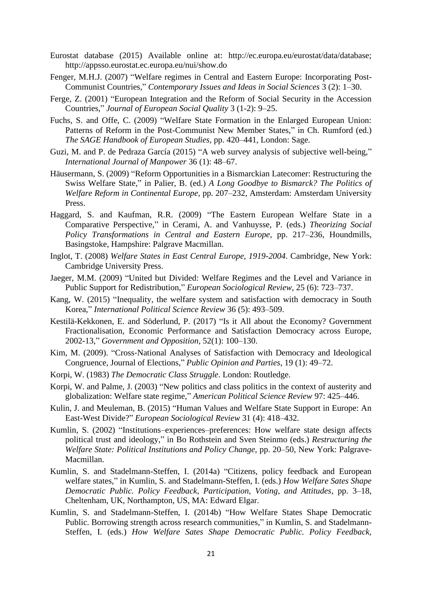- Eurostat database (2015) Available online at: http://ec.europa.eu/eurostat/data/database; http://appsso.eurostat.ec.europa.eu/nui/show.do
- Fenger, M.H.J. (2007) "Welfare regimes in Central and Eastern Europe: Incorporating Post-Communist Countries," *Contemporary Issues and Ideas in Social Sciences* 3 (2): 1–30.
- Ferge, Z. (2001) "European Integration and the Reform of Social Security in the Accession Countries," *Journal of European Social Quality* 3 (1-2): 9–25.
- Fuchs, S. and Offe, C. (2009) "Welfare State Formation in the Enlarged European Union: Patterns of Reform in the Post-Communist New Member States," in Ch. Rumford (ed.) *The SAGE Handbook of European Studies,* pp. 420–441, London: Sage.
- Guzi, M. and P. de Pedraza García (2015) "A web survey analysis of subjective well-being," *International Journal of Manpower* 36 (1): 48–67.
- Häusermann, S. (2009) "Reform Opportunities in a Bismarckian Latecomer: Restructuring the Swiss Welfare State," in Palier, B. (ed.) *A Long Goodbye to Bismarck? The Politics of Welfare Reform in Continental Europe*, pp. 207–232, Amsterdam: Amsterdam University Press.
- Haggard, S. and Kaufman, R.R. (2009) "The Eastern European Welfare State in a Comparative Perspective," in Cerami, A. and Vanhuysse, P. (eds.) *Theorizing Social Policy Transformations in Central and Eastern Europe*, pp. 217–236, Houndmills, Basingstoke, Hampshire: Palgrave Macmillan.
- Inglot, T. (2008) *Welfare States in East Central Europe, 1919-2004*. Cambridge, New York: Cambridge University Press.
- Jaeger, M.M. (2009) "United but Divided: Welfare Regimes and the Level and Variance in Public Support for Redistribution," *European Sociological Review,* 25 (6): 723–737.
- Kang, W. (2015) "Inequality, the welfare system and satisfaction with democracy in South Korea," *International Political Science Review* 36 (5): 493–509.
- [Kestilä-Kekkonen,](https://www.researchgate.net/profile/Elina_Kestilae-Kekkonen) E. and [Söderlund,](https://www.researchgate.net/profile/Peter_Soederlund) P. (2017) "Is it All about the Economy? Government Fractionalisation, Economic Performance and Satisfaction Democracy across Europe, 2002-13," *Government and Opposition*, 52(1): 100–130.
- Kim, M. (2009). "Cross-National Analyses of Satisfaction with Democracy and Ideological Congruence, Journal of Elections," *Public Opinion and Parties*, 19 (1): 49–72.
- Korpi, W. (1983) *The Democratic Class Struggle*. London: Routledge.
- Korpi, W. and Palme, J. (2003) "New politics and class politics in the context of austerity and globalization: Welfare state regime," *American Political Science Review* 97: 425–446.
- Kulin, J. and Meuleman, B. (2015) "Human Values and Welfare State Support in Europe: An East-West Divide?" *European Sociological Review* 31 (4): 418–432.
- Kumlin, S. (2002) "Institutions–experiences–preferences: How welfare state design affects political trust and ideology," in Bo Rothstein and Sven Steinmo (eds.) *Restructuring the Welfare State: Political Institutions and Policy Change,* pp. 20–50, New York: Palgrave-Macmillan.
- Kumlin, S. and Stadelmann-Steffen, I. (2014a) "Citizens, policy feedback and European welfare states," in Kumlin, S. and Stadelmann-Steffen, I. (eds.) *How Welfare Sates Shape Democratic Public. Policy Feedback, Participation, Voting, and Attitudes*, pp. 3–18, Cheltenham, UK, Northampton, US, MA: Edward Elgar.
- Kumlin, S. and Stadelmann-Steffen, I. (2014b) "How Welfare States Shape Democratic Public. Borrowing strength across research communities," in Kumlin, S. and Stadelmann-Steffen, I. (eds.) *How Welfare Sates Shape Democratic Public. Policy Feedback,*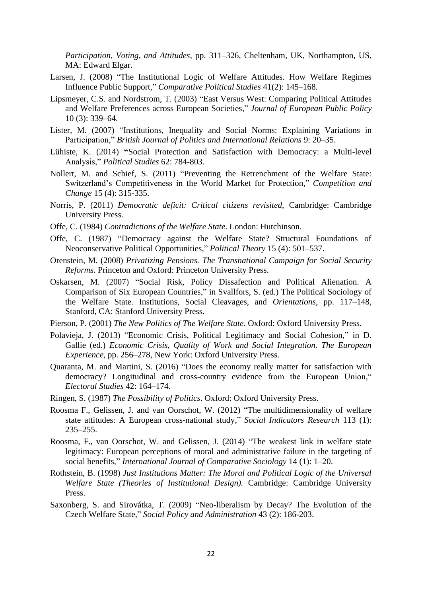*Participation, Voting, and Attitudes*, pp. 311–326, Cheltenham, UK, Northampton, US, MA: Edward Elgar.

- Larsen, J. (2008) "The Institutional Logic of Welfare Attitudes. How Welfare Regimes Influence Public Support," *Comparative Political Studies* 41(2): 145–168.
- Lipsmeyer, C.S. and Nordstrom, T. (2003) "East Versus West: Comparing Political Attitudes and Welfare Preferences across European Societies," *Journal of European Public Policy* 10 (3): 339–64.
- Lister, M. (2007) "Institutions, Inequality and Social Norms: Explaining Variations in Participation," *British Journal of Politics and International Relations* 9: 20–35.
- Lühiste, K. (2014) **"**Social Protection and Satisfaction with Democracy: a Multi-level Analysis," *Political Studies* 62: 784-803.
- Nollert, M. and Schief, S. (2011) "Preventing the Retrenchment of the Welfare State: Switzerland's Competitiveness in the World Market for Protection," *[Competition and](https://www.researchgate.net/journal/1024-5294_Competition_and_Change)  [Change](https://www.researchgate.net/journal/1024-5294_Competition_and_Change)* 15 (4): 315-335.
- Norris, P. (2011) *Democratic deficit: Critical citizens revisited,* Cambridge: Cambridge University Press.
- Offe, C. (1984) *Contradictions of the Welfare State*. London: Hutchinson.
- Offe, C. (1987) "Democracy against the Welfare State? Structural Foundations of Neoconservative Political Opportunities," *Political Theory* 15 (4): 501–537.
- Orenstein, M. (2008) *Privatizing Pensions. The Transnational Campaign for Social Security Reforms*. Princeton and Oxford: Princeton University Press.
- Oskarsen, M. (2007) "Social Risk, Policy Dissafection and Political Alienation. A Comparison of Six European Countries," in Svallfors, S. (ed.) The Political Sociology of the Welfare State. Institutions, Social Cleavages, and *Orientations*, pp. 117–148, Stanford, CA: Stanford University Press.
- Pierson, P. (2001) *The New Politics of The Welfare State*. Oxford: Oxford University Press.
- Polavieja, J. (2013) "Economic Crisis, Political Legitimacy and Social Cohesion," in D. Gallie (ed.) *Economic Crisis, Quality of Work and Social Integration. The European Experience*, pp. 256–278, New York: Oxford University Press.
- Quaranta, M. and Martini, S. (2016) "Does the economy really matter for satisfaction with democracy? Longitudinal and cross-country evidence from the European Union," *Electoral Studies* 42: 164–174.
- Ringen, S. (1987) *The Possibility of Politics*. Oxford: Oxford University Press.
- Roosma F., Gelissen, J. and van Oorschot, W. (2012) "The multidimensionality of welfare state attitudes: A European cross-national study," *Social Indicators Research* 113 (1): 235–255.
- Roosma, F., van Oorschot, W. and Gelissen, J. (2014) "The weakest link in welfare state legitimacy: European perceptions of moral and administrative failure in the targeting of social benefits," *International Journal of Comparative Sociology* 14 (1): 1–20.
- Rothstein, B. (1998) *Just Institutions Matter: The Moral and Political Logic of the Universal Welfare State (Theories of Institutional Design).* Cambridge: Cambridge University Press.
- Saxonberg, S. and Sirovátka, T. (2009) "Neo-liberalism by Decay? The Evolution of the Czech Welfare State," *Social Policy and Administration* 43 (2): 186-203.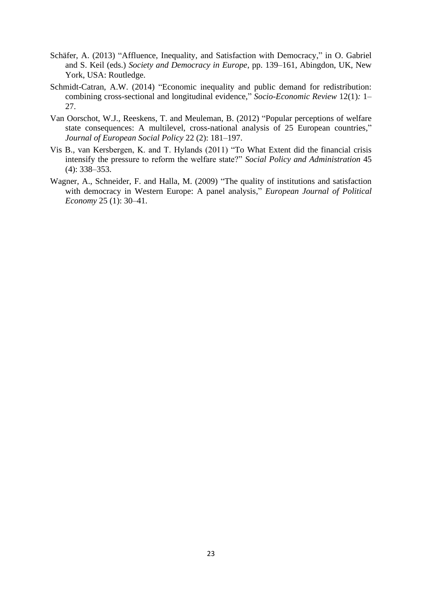- Schäfer, A. (2013) "Affluence, Inequality, and Satisfaction with Democracy," in O. Gabriel and S. Keil (eds.) *Society and Democracy in Europe*, pp. 139–161, Abingdon, UK, New York, USA: Routledge.
- Schmidt-Catran, A.W. (2014) "Economic inequality and public demand for redistribution: combining cross-sectional and longitudinal evidence," *Socio-Economic Review* 12(1)*:* 1– 27.
- Van Oorschot, W.J., Reeskens, T. and Meuleman, B. (2012) "Popular perceptions of welfare state consequences: A multilevel, cross-national analysis of 25 European countries," *Journal of European Social Policy* 22 (2): 181–197.
- Vis B., van Kersbergen, K. and T. Hylands (2011) "To What Extent did the financial crisis intensify the pressure to reform the welfare state?" *Social Policy and Administration* 45 (4): 338–353.
- Wagner, A., Schneider, F. and Halla, M. (2009) "The quality of institutions and satisfaction with democracy in Western Europe: A panel analysis," *European Journal of Political Economy* 25 (1): 30–41.